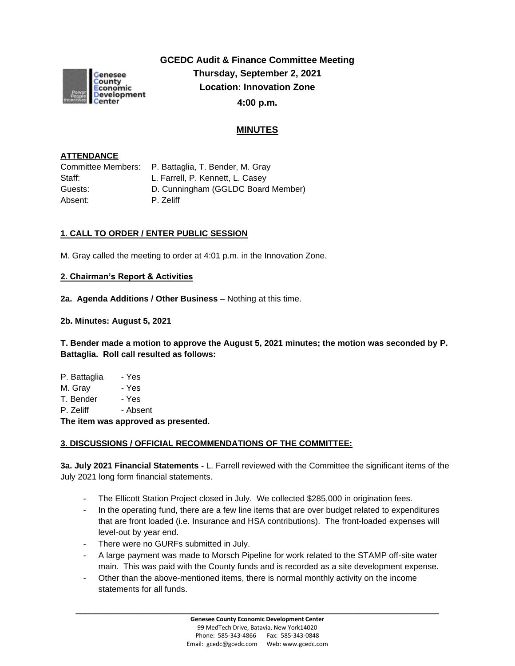

**GCEDC Audit & Finance Committee Meeting Thursday, September 2, 2021 Location: Innovation Zone 4:00 p.m.**

# **MINUTES**

### **ATTENDANCE**

| Committee Members: | P. Battaglia, T. Bender, M. Gray   |
|--------------------|------------------------------------|
| Staff:             | L. Farrell, P. Kennett, L. Casey   |
| Guests:            | D. Cunningham (GGLDC Board Member) |
| Absent:            | P. Zeliff                          |
|                    |                                    |

## **1. CALL TO ORDER / ENTER PUBLIC SESSION**

M. Gray called the meeting to order at 4:01 p.m. in the Innovation Zone.

### **2. Chairman's Report & Activities**

**2a. Agenda Additions / Other Business** – Nothing at this time.

**2b. Minutes: August 5, 2021** 

**T. Bender made a motion to approve the August 5, 2021 minutes; the motion was seconded by P. Battaglia. Roll call resulted as follows:**

| - Yes    |
|----------|
| - Yes    |
| - Yes    |
| - Absent |
|          |

**The item was approved as presented.**

### **3. DISCUSSIONS / OFFICIAL RECOMMENDATIONS OF THE COMMITTEE:**

**3a. July 2021 Financial Statements -** L. Farrell reviewed with the Committee the significant items of the July 2021 long form financial statements.

- The Ellicott Station Project closed in July. We collected \$285,000 in origination fees.
- In the operating fund, there are a few line items that are over budget related to expenditures that are front loaded (i.e. Insurance and HSA contributions). The front-loaded expenses will level-out by year end.
- There were no GURFs submitted in July.
- A large payment was made to Morsch Pipeline for work related to the STAMP off-site water main. This was paid with the County funds and is recorded as a site development expense.
- Other than the above-mentioned items, there is normal monthly activity on the income statements for all funds.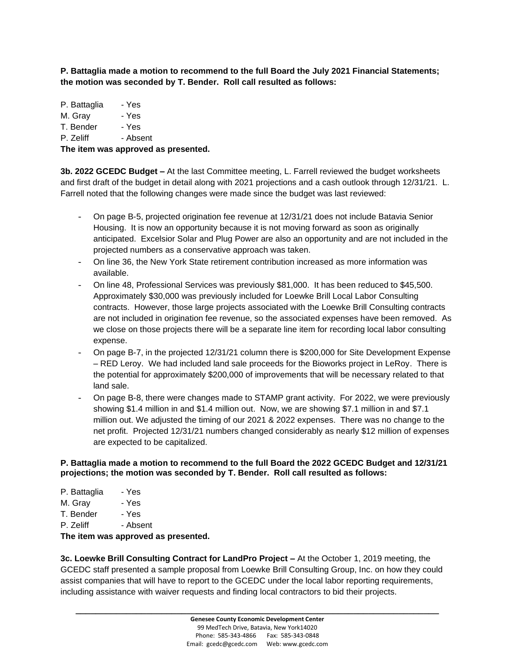**P. Battaglia made a motion to recommend to the full Board the July 2021 Financial Statements; the motion was seconded by T. Bender. Roll call resulted as follows:**

P. Battaglia - Yes M. Gray - Yes T. Bender - Yes P. Zeliff - Absent

**The item was approved as presented.**

**3b. 2022 GCEDC Budget –** At the last Committee meeting, L. Farrell reviewed the budget worksheets and first draft of the budget in detail along with 2021 projections and a cash outlook through 12/31/21. L. Farrell noted that the following changes were made since the budget was last reviewed:

- On page B-5, projected origination fee revenue at 12/31/21 does not include Batavia Senior Housing. It is now an opportunity because it is not moving forward as soon as originally anticipated. Excelsior Solar and Plug Power are also an opportunity and are not included in the projected numbers as a conservative approach was taken.
- On line 36, the New York State retirement contribution increased as more information was available.
- On line 48, Professional Services was previously \$81,000. It has been reduced to \$45,500. Approximately \$30,000 was previously included for Loewke Brill Local Labor Consulting contracts. However, those large projects associated with the Loewke Brill Consulting contracts are not included in origination fee revenue, so the associated expenses have been removed. As we close on those projects there will be a separate line item for recording local labor consulting expense.
- On page B-7, in the projected 12/31/21 column there is \$200,000 for Site Development Expense – RED Leroy. We had included land sale proceeds for the Bioworks project in LeRoy. There is the potential for approximately \$200,000 of improvements that will be necessary related to that land sale.
- On page B-8, there were changes made to STAMP grant activity. For 2022, we were previously showing \$1.4 million in and \$1.4 million out. Now, we are showing \$7.1 million in and \$7.1 million out. We adjusted the timing of our 2021 & 2022 expenses. There was no change to the net profit. Projected 12/31/21 numbers changed considerably as nearly \$12 million of expenses are expected to be capitalized.

#### **P. Battaglia made a motion to recommend to the full Board the 2022 GCEDC Budget and 12/31/21 projections; the motion was seconded by T. Bender. Roll call resulted as follows:**

| P. Battaglia | - Yes |
|--------------|-------|
|--------------|-------|

|  | M. Gray | - Yes |
|--|---------|-------|
|--|---------|-------|

T. Bender - Yes

P. Zeliff - Absent

### **The item was approved as presented.**

**3c. Loewke Brill Consulting Contract for LandPro Project –** At the October 1, 2019 meeting, the GCEDC staff presented a sample proposal from Loewke Brill Consulting Group, Inc. on how they could assist companies that will have to report to the GCEDC under the local labor reporting requirements, including assistance with waiver requests and finding local contractors to bid their projects.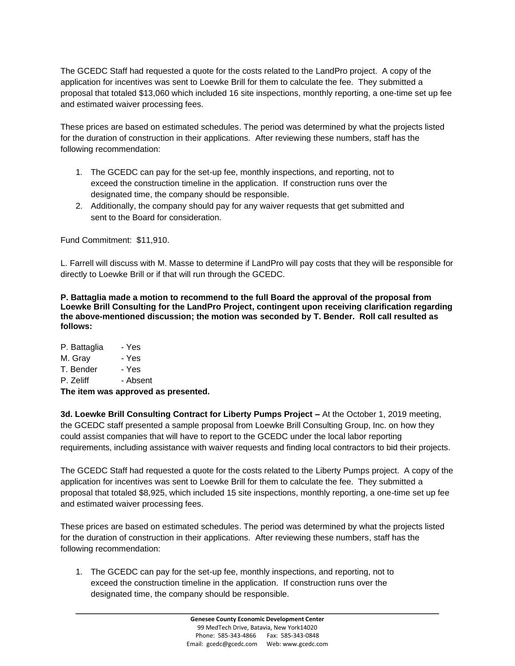The GCEDC Staff had requested a quote for the costs related to the LandPro project. A copy of the application for incentives was sent to Loewke Brill for them to calculate the fee. They submitted a proposal that totaled \$13,060 which included 16 site inspections, monthly reporting, a one-time set up fee and estimated waiver processing fees.

These prices are based on estimated schedules. The period was determined by what the projects listed for the duration of construction in their applications. After reviewing these numbers, staff has the following recommendation:

- 1. The GCEDC can pay for the set-up fee, monthly inspections, and reporting, not to exceed the construction timeline in the application. If construction runs over the designated time, the company should be responsible.
- 2. Additionally, the company should pay for any waiver requests that get submitted and sent to the Board for consideration.

Fund Commitment: \$11,910.

L. Farrell will discuss with M. Masse to determine if LandPro will pay costs that they will be responsible for directly to Loewke Brill or if that will run through the GCEDC.

**P. Battaglia made a motion to recommend to the full Board the approval of the proposal from Loewke Brill Consulting for the LandPro Project, contingent upon receiving clarification regarding the above-mentioned discussion; the motion was seconded by T. Bender. Roll call resulted as follows:**

P. Battaglia - Yes M. Gray - Yes T. Bender - Yes P. Zeliff - Absent **The item was approved as presented.**

**3d. Loewke Brill Consulting Contract for Liberty Pumps Project –** At the October 1, 2019 meeting, the GCEDC staff presented a sample proposal from Loewke Brill Consulting Group, Inc. on how they could assist companies that will have to report to the GCEDC under the local labor reporting requirements, including assistance with waiver requests and finding local contractors to bid their projects.

The GCEDC Staff had requested a quote for the costs related to the Liberty Pumps project. A copy of the application for incentives was sent to Loewke Brill for them to calculate the fee. They submitted a proposal that totaled \$8,925, which included 15 site inspections, monthly reporting, a one-time set up fee and estimated waiver processing fees.

These prices are based on estimated schedules. The period was determined by what the projects listed for the duration of construction in their applications. After reviewing these numbers, staff has the following recommendation:

1. The GCEDC can pay for the set-up fee, monthly inspections, and reporting, not to exceed the construction timeline in the application. If construction runs over the designated time, the company should be responsible.